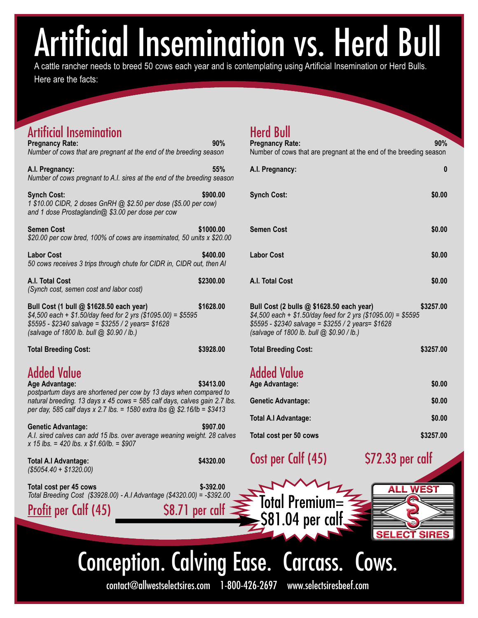# cial Insemination vs. Herd Bull

A cattle rancher needs to breed 50 cows each year and is contemplating using Artificial Insemination or Herd Bulls. Here are the facts:

| <b>Artificial Insemination</b><br><b>Pregnancy Rate:</b><br>Number of cows that are pregnant at the end of the breeding season                                                                                                                                    | 90%       | <b>Herd Bull</b><br><b>Pregnancy Rate:</b><br>Number of cows that are pregna                                                                 |
|-------------------------------------------------------------------------------------------------------------------------------------------------------------------------------------------------------------------------------------------------------------------|-----------|----------------------------------------------------------------------------------------------------------------------------------------------|
| A.I. Pregnancy:<br>Number of cows pregnant to A.I. sires at the end of the breeding season                                                                                                                                                                        | 55%       | A.I. Pregnancy:                                                                                                                              |
| <b>Synch Cost:</b><br>1 \$10.00 CIDR, 2 doses GnRH @ \$2.50 per dose (\$5.00 per cow)<br>and 1 dose Prostaglandin@ \$3.00 per dose per cow                                                                                                                        | \$900.00  | <b>Synch Cost:</b>                                                                                                                           |
| <b>Semen Cost</b><br>\$20.00 per cow bred, 100% of cows are inseminated, 50 units x \$20.00                                                                                                                                                                       | \$1000.00 | <b>Semen Cost</b>                                                                                                                            |
| <b>Labor Cost</b><br>50 cows receives 3 trips through chute for CIDR in, CIDR out, then AI                                                                                                                                                                        | \$400.00  | <b>Labor Cost</b>                                                                                                                            |
| A.I. Total Cost<br>(Synch cost, semen cost and labor cost)                                                                                                                                                                                                        | \$2300.00 | A.I. Total Cost                                                                                                                              |
| Bull Cost (1 bull @ \$1628.50 each year)<br>$$4,500$ each + \$1.50/day feed for 2 yrs (\$1095.00) = \$5595<br>\$5595 - \$2340 salvage = \$3255 / 2 years= \$1628<br>(salvage of 1800 lb. bull @ \$0.90 / lb.)                                                     | \$1628.00 | Bull Cost (2 bulls @ \$1628.50<br>\$4,500 each + \$1.50/day feed fo<br>\$5595 - \$2340 salvage = \$3255<br>(salvage of 1800 lb. bull @ \$0.9 |
| <b>Total Breeding Cost:</b>                                                                                                                                                                                                                                       | \$3928.00 | <b>Total Breeding Cost:</b>                                                                                                                  |
| <b>Added Value</b><br>Age Advantage:<br>postpartum days are shortened per cow by 13 days when compared to<br>natural breeding. 13 days x 45 cows = 585 calf days, calves gain 2.7 lbs.<br>per day, 585 calf days x 2.7 lbs. = 1580 extra lbs @ \$2.16/lb = \$3413 | \$3413.00 | <b>Added Value</b><br>Age Advantage:<br><b>Genetic Advantage:</b>                                                                            |
| <b>Genetic Advantage:</b><br>A.I. sired calves can add 15 lbs. over average weaning weight. 28 calves<br>x 15 lbs. = 420 lbs. x $$1.60$ /lb. = \$907                                                                                                              | \$907.00  | <b>Total A.I Advantage:</b><br>Total cost per 50 cows                                                                                        |
| <b>Total A.I Advantage:</b><br>$($5054.40 + $1320.00)$                                                                                                                                                                                                            | \$4320.00 | Cost per Calf (45)                                                                                                                           |
| Total cost per 45 cows<br>Total Breeding Cost (\$3928.00) - A.I Advantage (\$4320.00) = -\$392.00<br>Profit per Calf (45)<br>\$8.71 per calt                                                                                                                      | \$-392.00 | <b>Total Premium=</b><br>4 ner call                                                                                                          |

### erd Bull

**Pregnancy Rate: 90%** mber of cows that are pregnant at the end of the breeding season

| A.I. Pregnancy:                                                                                                                                                                                               | 0         |
|---------------------------------------------------------------------------------------------------------------------------------------------------------------------------------------------------------------|-----------|
| <b>Synch Cost:</b>                                                                                                                                                                                            | \$0.00    |
| <b>Semen Cost</b>                                                                                                                                                                                             | \$0.00    |
| <b>Labor Cost</b>                                                                                                                                                                                             | \$0.00    |
| A.I. Total Cost                                                                                                                                                                                               | \$0.00    |
| Bull Cost (2 bulls @ \$1628.50 each year)<br>\$4,500 each + \$1.50/day feed for 2 yrs (\$1095.00) = \$5595<br>\$5595 - \$2340 salvage = \$3255 / 2 years= \$1628<br>(salvage of 1800 lb. bull @ \$0.90 / lb.) | \$3257.00 |
| <b>Total Breeding Cost:</b>                                                                                                                                                                                   | \$3257.00 |
| <b>Added Value</b><br><b>Age Advantage:</b>                                                                                                                                                                   | \$0.00    |
| <b>Genetic Advantage:</b>                                                                                                                                                                                     | \$0.00    |
| Total A.I Advantage:                                                                                                                                                                                          | \$0.00    |
| Total cost per 50 cows                                                                                                                                                                                        | \$3257.00 |
|                                                                                                                                                                                                               |           |



\$81.04 per calf,





## Conception. Calving Ease. Carcass. Cows.

contact@allwestselectsires.com 1-800-426-2697 www.selectsiresbeef.com